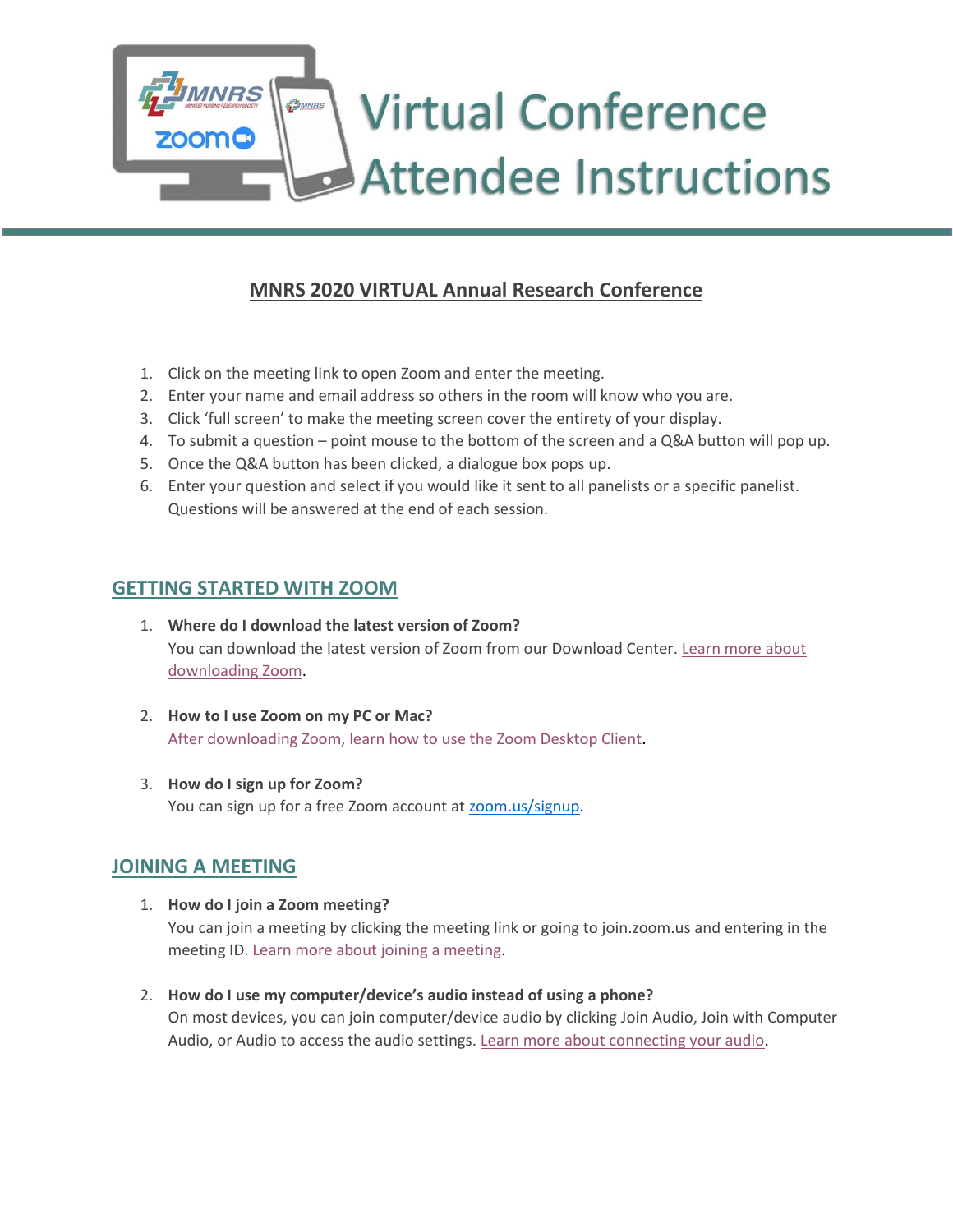# **THE MARS Virtual Conference Attendee Instructions**

# **MNRS 2020 VIRTUAL Annual Research Conference**

- 1. Click on the meeting link to open Zoom and enter the meeting.
- 2. Enter your name and email address so others in the room will know who you are.
- 3. Click 'full screen' to make the meeting screen cover the entirety of your display.
- 4. To submit a question point mouse to the bottom of the screen and a Q&A button will pop up.
- 5. Once the Q&A button has been clicked, a dialogue box pops up.
- 6. Enter your question and select if you would like it sent to all panelists or a specific panelist. Questions will be answered at the end of each session.

## **GETTING STARTED WITH ZOOM**

**INRS** 

oma

- 1. **Where do I download the latest version of Zoom?** You can download the latest version of Zoom from our Download Center. [Learn more about](https://support.zoom.us/hc/en-us/articles/201362233)  [downloading Zoom.](https://support.zoom.us/hc/en-us/articles/201362233)
- 2. **How to I use Zoom on my PC or Mac?** [After downloading Zoom, learn how to use the Zoom Desktop Client.](https://support.zoom.us/hc/en-us/articles/201362033-Getting-Started-on-PC-and-Mac)
- 3. **How do I sign up for Zoom?** You can sign up for a free Zoom account at [zoom.us/signup.](https://zoom.us/signup)

## **JOINING A MEETING**

- 1. **How do I join a Zoom meeting?** You can join a meeting by clicking the meeting link or going to join.zoom.us and entering in the meeting ID. [Learn more about joining a meeting.](https://support.zoom.us/hc/en-us/articles/201362193)
- 2. **How do I use my computer/device's audio instead of using a phone?** On most devices, you can join computer/device audio by clicking Join Audio, Join with Computer Audio, or Audio to access the audio settings[. Learn more about connecting your audio.](https://support.zoom.us/hc/en-us/articles/201362283-How-Do-I-Join-or-Test-My-Computer-Audio-)